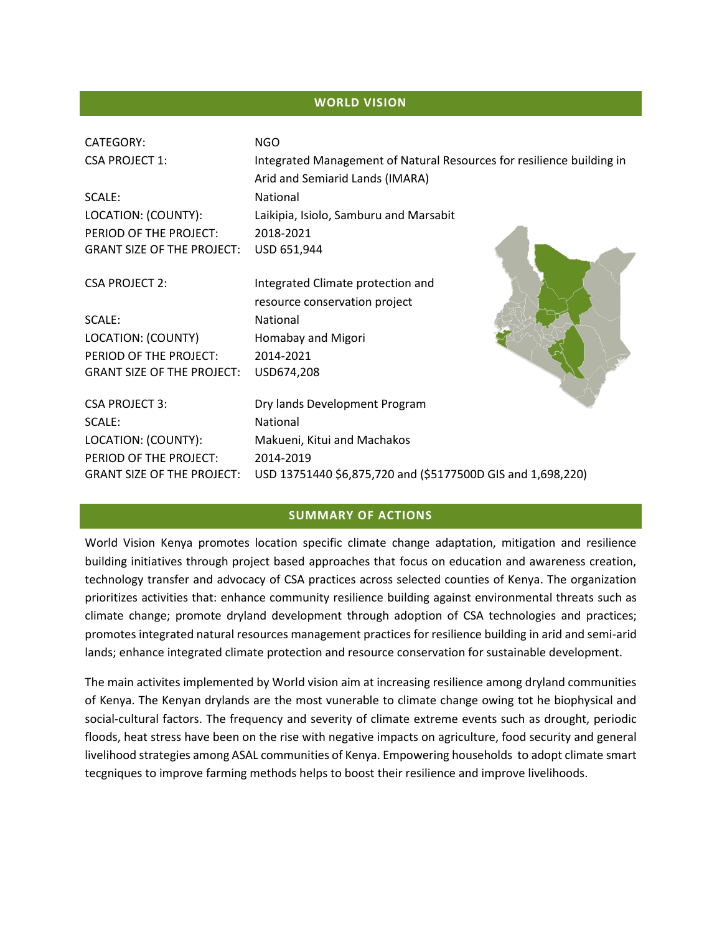### **WORLD VISION**

| <b>CATEGORY:</b>                  | <b>NGO</b>                                                            |
|-----------------------------------|-----------------------------------------------------------------------|
| <b>CSA PROJECT 1:</b>             | Integrated Management of Natural Resources for resilience building in |
|                                   | Arid and Semiarid Lands (IMARA)                                       |
| SCALE:                            | National                                                              |
| LOCATION: (COUNTY):               | Laikipia, Isiolo, Samburu and Marsabit                                |
| PERIOD OF THE PROJECT:            | 2018-2021                                                             |
| <b>GRANT SIZE OF THE PROJECT:</b> | USD 651,944                                                           |
| <b>CSA PROJECT 2:</b>             | Integrated Climate protection and                                     |
|                                   | resource conservation project                                         |
| SCALE:                            | <b>National</b>                                                       |
| LOCATION: (COUNTY)                | Homabay and Migori                                                    |
| PERIOD OF THE PROJECT:            | 2014-2021                                                             |
| <b>GRANT SIZE OF THE PROJECT:</b> | USD674,208                                                            |
| <b>CSA PROJECT 3:</b>             | Dry lands Development Program                                         |
| SCALE:                            | National                                                              |
| LOCATION: (COUNTY):               | Makueni, Kitui and Machakos                                           |
| PERIOD OF THE PROJECT:            | 2014-2019                                                             |
| <b>GRANT SIZE OF THE PROJECT:</b> | USD 13751440 \$6,875,720 and (\$5177500D GIS and 1,698,220)           |

### **SUMMARY OF ACTIONS**

World Vision Kenya promotes location specific climate change adaptation, mitigation and resilience building initiatives through project based approaches that focus on education and awareness creation, technology transfer and advocacy of CSA practices across selected counties of Kenya. The organization prioritizes activities that: enhance community resilience building against environmental threats such as climate change; promote dryland development through adoption of CSA technologies and practices; promotes integrated natural resources management practices for resilience building in arid and semi-arid lands; enhance integrated climate protection and resource conservation for sustainable development.

The main activites implemented by World vision aim at increasing resilience among dryland communities of Kenya. The Kenyan drylands are the most vunerable to climate change owing tot he biophysical and social-cultural factors. The frequency and severity of climate extreme events such as drought, periodic floods, heat stress have been on the rise with negative impacts on agriculture, food security and general livelihood strategies among ASAL communities of Kenya. Empowering households to adopt climate smart tecgniques to improve farming methods helps to boost their resilience and improve livelihoods.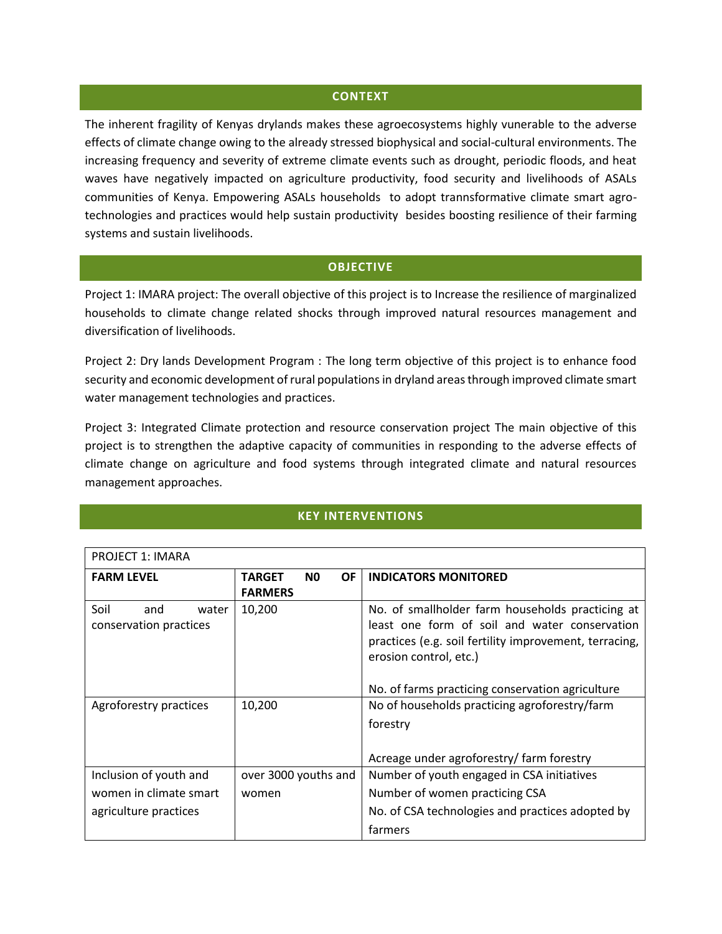#### **CONTEXT**

The inherent fragility of Kenyas drylands makes these agroecosystems highly vunerable to the adverse effects of climate change owing to the already stressed biophysical and social-cultural environments. The increasing frequency and severity of extreme climate events such as drought, periodic floods, and heat waves have negatively impacted on agriculture productivity, food security and livelihoods of ASALs communities of Kenya. Empowering ASALs households to adopt trannsformative climate smart agrotechnologies and practices would help sustain productivity besides boosting resilience of their farming systems and sustain livelihoods.

#### **OBJECTIVE**

Project 1: IMARA project: The overall objective of this project is to Increase the resilience of marginalized households to climate change related shocks through improved natural resources management and diversification of livelihoods.

Project 2: Dry lands Development Program : The long term objective of this project is to enhance food security and economic development of rural populations in dryland areas through improved climate smart water management technologies and practices.

Project 3: Integrated Climate protection and resource conservation project The main objective of this project is to strengthen the adaptive capacity of communities in responding to the adverse effects of climate change on agriculture and food systems through integrated climate and natural resources management approaches.

# **KEY INTERVENTIONS**

| <b>PROJECT 1: IMARA</b> |                                              |                                                        |
|-------------------------|----------------------------------------------|--------------------------------------------------------|
| <b>FARM LEVEL</b>       | <b>OF</b><br><b>TARGET</b><br>N <sub>0</sub> | <b>INDICATORS MONITORED</b>                            |
|                         | <b>FARMERS</b>                               |                                                        |
| Soil<br>and<br>water    | 10,200                                       | No. of smallholder farm households practicing at       |
| conservation practices  |                                              | least one form of soil and water conservation          |
|                         |                                              | practices (e.g. soil fertility improvement, terracing, |
|                         |                                              | erosion control, etc.)                                 |
|                         |                                              |                                                        |
|                         |                                              | No. of farms practicing conservation agriculture       |
| Agroforestry practices  | 10,200                                       | No of households practicing agroforestry/farm          |
|                         |                                              | forestry                                               |
|                         |                                              |                                                        |
|                         |                                              | Acreage under agroforestry/ farm forestry              |
| Inclusion of youth and  | over 3000 youths and                         | Number of youth engaged in CSA initiatives             |
| women in climate smart  | women                                        | Number of women practicing CSA                         |
| agriculture practices   |                                              | No. of CSA technologies and practices adopted by       |
|                         |                                              | farmers                                                |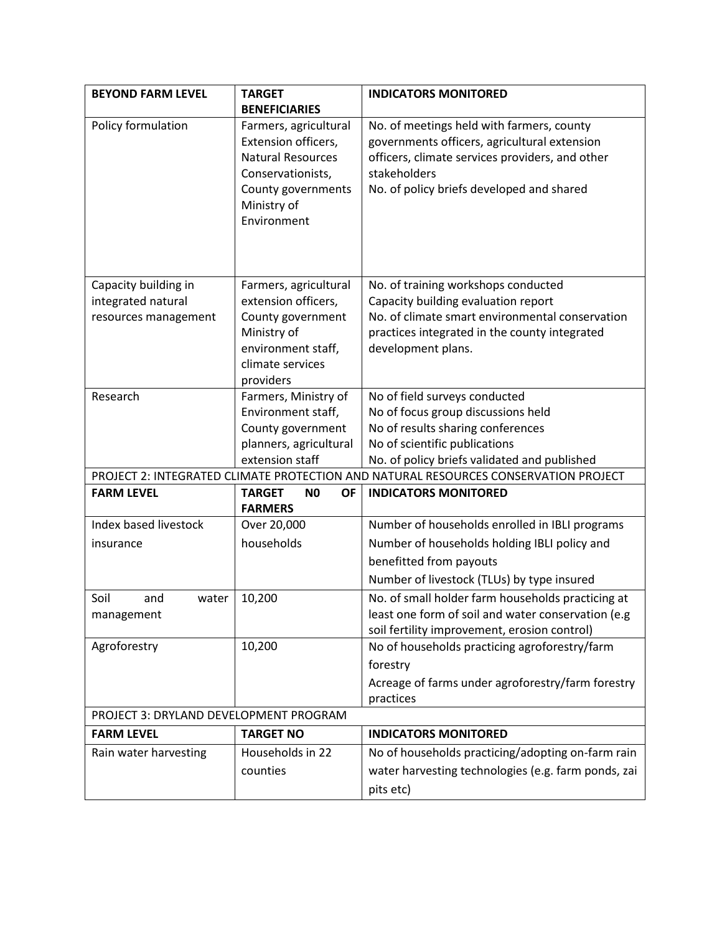| <b>BEYOND FARM LEVEL</b>               | <b>TARGET</b>                          | <b>INDICATORS MONITORED</b>                                                                   |
|----------------------------------------|----------------------------------------|-----------------------------------------------------------------------------------------------|
|                                        | <b>BENEFICIARIES</b>                   |                                                                                               |
| Policy formulation                     | Farmers, agricultural                  | No. of meetings held with farmers, county                                                     |
|                                        | Extension officers,                    | governments officers, agricultural extension                                                  |
|                                        | <b>Natural Resources</b>               | officers, climate services providers, and other                                               |
|                                        | Conservationists,                      | stakeholders                                                                                  |
|                                        | County governments<br>Ministry of      | No. of policy briefs developed and shared                                                     |
|                                        | Environment                            |                                                                                               |
|                                        |                                        |                                                                                               |
|                                        |                                        |                                                                                               |
|                                        |                                        |                                                                                               |
| Capacity building in                   | Farmers, agricultural                  | No. of training workshops conducted                                                           |
| integrated natural                     | extension officers,                    | Capacity building evaluation report                                                           |
| resources management                   | County government                      | No. of climate smart environmental conservation                                               |
|                                        | Ministry of                            | practices integrated in the county integrated                                                 |
|                                        | environment staff,<br>climate services | development plans.                                                                            |
|                                        | providers                              |                                                                                               |
| Research                               | Farmers, Ministry of                   | No of field surveys conducted                                                                 |
|                                        | Environment staff,                     | No of focus group discussions held                                                            |
|                                        | County government                      | No of results sharing conferences                                                             |
|                                        | planners, agricultural                 | No of scientific publications                                                                 |
|                                        | extension staff                        | No. of policy briefs validated and published                                                  |
|                                        |                                        | PROJECT 2: INTEGRATED CLIMATE PROTECTION AND NATURAL RESOURCES CONSERVATION PROJECT           |
| <b>FARM LEVEL</b>                      | <b>TARGET</b><br>N <sub>0</sub><br>OF  | <b>INDICATORS MONITORED</b>                                                                   |
|                                        | <b>FARMERS</b>                         |                                                                                               |
| Index based livestock                  | Over 20,000                            | Number of households enrolled in IBLI programs                                                |
| insurance                              | households                             | Number of households holding IBLI policy and                                                  |
|                                        |                                        | benefitted from payouts                                                                       |
|                                        |                                        | Number of livestock (TLUs) by type insured                                                    |
| Soil<br>and<br>water                   | 10,200                                 | No. of small holder farm households practicing at                                             |
| management                             |                                        | least one form of soil and water conservation (e.g                                            |
| Agroforestry                           | 10,200                                 | soil fertility improvement, erosion control)<br>No of households practicing agroforestry/farm |
|                                        |                                        | forestry                                                                                      |
|                                        |                                        | Acreage of farms under agroforestry/farm forestry                                             |
|                                        |                                        | practices                                                                                     |
| PROJECT 3: DRYLAND DEVELOPMENT PROGRAM |                                        |                                                                                               |
| <b>FARM LEVEL</b>                      | <b>TARGET NO</b>                       | <b>INDICATORS MONITORED</b>                                                                   |
| Rain water harvesting                  | Households in 22                       | No of households practicing/adopting on-farm rain                                             |
|                                        | counties                               | water harvesting technologies (e.g. farm ponds, zai                                           |
|                                        |                                        |                                                                                               |
|                                        |                                        | pits etc)                                                                                     |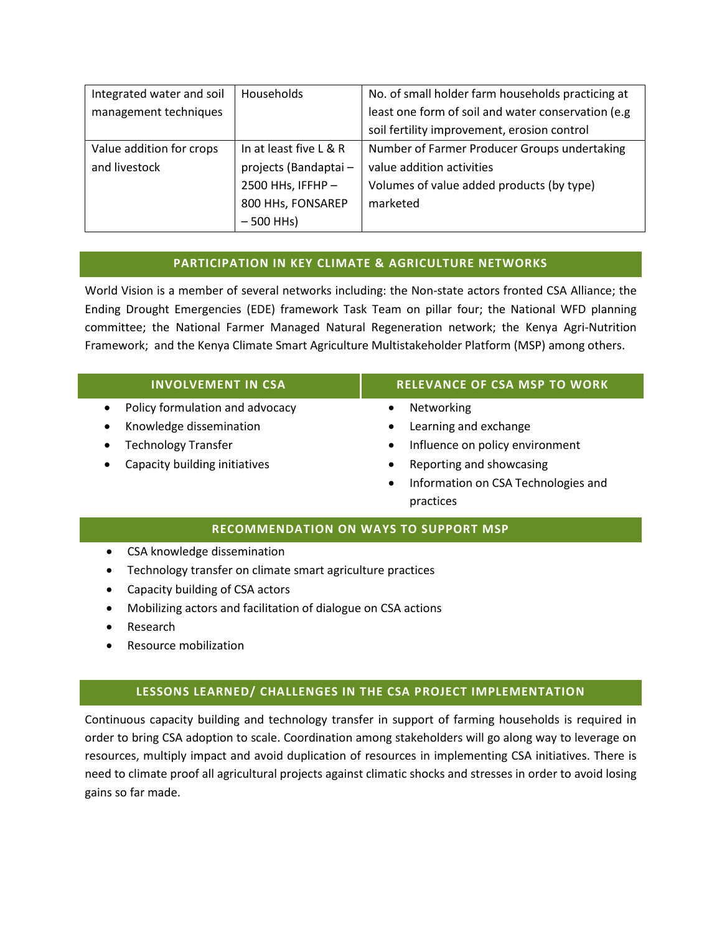| Integrated water and soil | Households             | No. of small holder farm households practicing at  |
|---------------------------|------------------------|----------------------------------------------------|
| management techniques     |                        | least one form of soil and water conservation (e.g |
|                           |                        | soil fertility improvement, erosion control        |
| Value addition for crops  | In at least five L & R | Number of Farmer Producer Groups undertaking       |
| and livestock             | projects (Bandaptai-   | value addition activities                          |
|                           | 2500 HHs, IFFHP $-$    | Volumes of value added products (by type)          |
|                           | 800 HHs, FONSAREP      | marketed                                           |
|                           | $-500$ HHs)            |                                                    |

# **PARTICIPATION IN KEY CLIMATE & AGRICULTURE NETWORKS**

World Vision is a member of several networks including: the Non-state actors fronted CSA Alliance; the Ending Drought Emergencies (EDE) framework Task Team on pillar four; the National WFD planning committee; the National Farmer Managed Natural Regeneration network; the Kenya Agri-Nutrition Framework; and the Kenya Climate Smart Agriculture Multistakeholder Platform (MSP) among others.

| <b>INVOLVEMENT IN CSA</b>                    | <b>RELEVANCE OF CSA MSP TO WORK</b>              |
|----------------------------------------------|--------------------------------------------------|
| Policy formulation and advocacy<br>$\bullet$ | Networking                                       |
| Knowledge dissemination                      | Learning and exchange<br>$\bullet$               |
| <b>Technology Transfer</b>                   | Influence on policy environment<br>٠             |
| Capacity building initiatives                | Reporting and showcasing<br>٠                    |
|                                              | Information on CSA Technologies and<br>$\bullet$ |
|                                              | practices                                        |

### **RECOMMENDATION ON WAYS TO SUPPORT MSP**

- CSA knowledge dissemination
- Technology transfer on climate smart agriculture practices
- Capacity building of CSA actors
- Mobilizing actors and facilitation of dialogue on CSA actions
- Research
- Resource mobilization

# **LESSONS LEARNED/ CHALLENGES IN THE CSA PROJECT IMPLEMENTATION**

Continuous capacity building and technology transfer in support of farming households is required in order to bring CSA adoption to scale. Coordination among stakeholders will go along way to leverage on resources, multiply impact and avoid duplication of resources in implementing CSA initiatives. There is need to climate proof all agricultural projects against climatic shocks and stresses in order to avoid losing gains so far made.